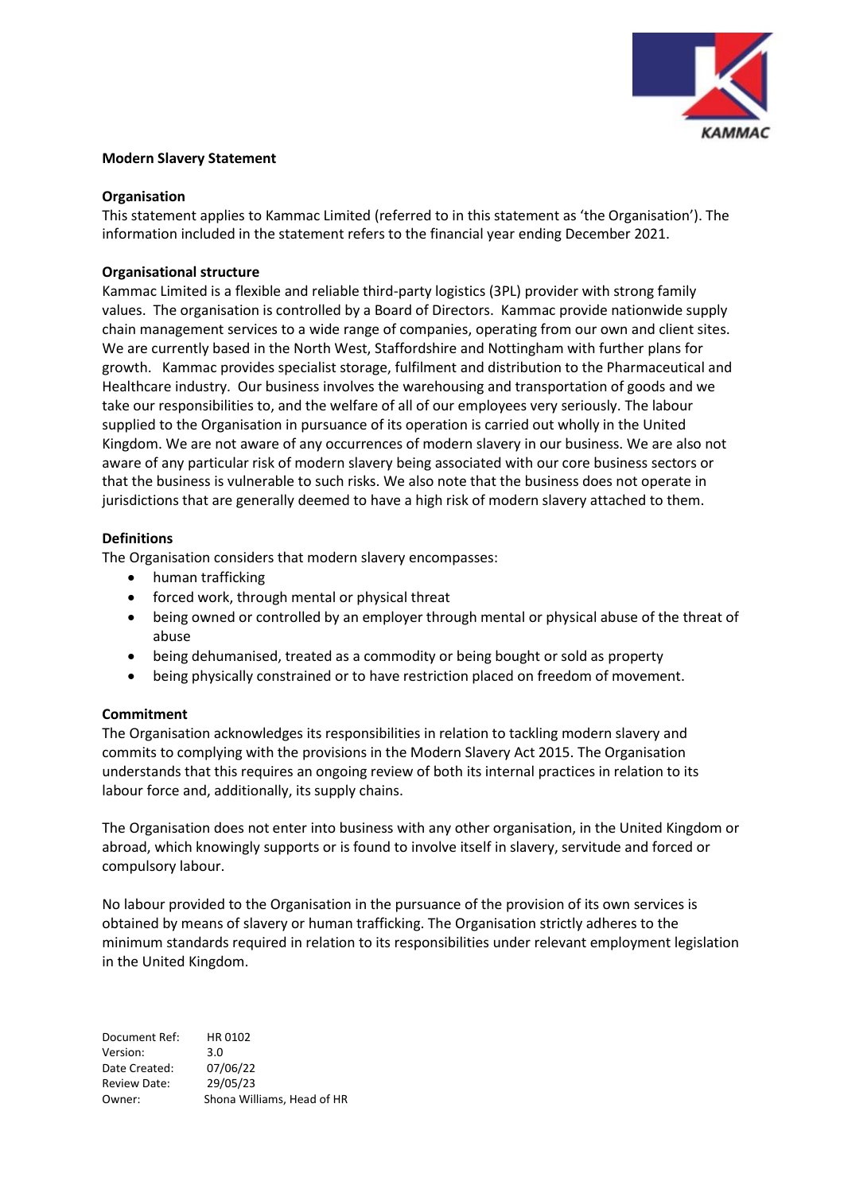

### **Modern Slavery Statement**

### **Organisation**

This statement applies to Kammac Limited (referred to in this statement as 'the Organisation'). The information included in the statement refers to the financial year ending December 2021.

# **Organisational structure**

Kammac Limited is a flexible and reliable third-party logistics (3PL) provider with strong family values. The organisation is controlled by a Board of Directors. Kammac provide nationwide supply chain management services to a wide range of companies, operating from our own and client sites. We are currently based in the North West, Staffordshire and Nottingham with further plans for growth. Kammac provides specialist storage, fulfilment and distribution to the Pharmaceutical and Healthcare industry. Our business involves the warehousing and transportation of goods and we take our responsibilities to, and the welfare of all of our employees very seriously. The labour supplied to the Organisation in pursuance of its operation is carried out wholly in the United Kingdom. We are not aware of any occurrences of modern slavery in our business. We are also not aware of any particular risk of modern slavery being associated with our core business sectors or that the business is vulnerable to such risks. We also note that the business does not operate in jurisdictions that are generally deemed to have a high risk of modern slavery attached to them.

### **Definitions**

The Organisation considers that modern slavery encompasses:

- human trafficking
- forced work, through mental or physical threat
- being owned or controlled by an employer through mental or physical abuse of the threat of abuse
- being dehumanised, treated as a commodity or being bought or sold as property
- being physically constrained or to have restriction placed on freedom of movement.

# **Commitment**

The Organisation acknowledges its responsibilities in relation to tackling modern slavery and commits to complying with the provisions in the Modern Slavery Act 2015. The Organisation understands that this requires an ongoing review of both its internal practices in relation to its labour force and, additionally, its supply chains.

The Organisation does not enter into business with any other organisation, in the United Kingdom or abroad, which knowingly supports or is found to involve itself in slavery, servitude and forced or compulsory labour.

No labour provided to the Organisation in the pursuance of the provision of its own services is obtained by means of slavery or human trafficking. The Organisation strictly adheres to the minimum standards required in relation to its responsibilities under relevant employment legislation in the United Kingdom.

Document Ref: HR 0102 Version: 3.0 Date Created: 07/06/22 Review Date: 29/05/23 Owner: Shona Williams, Head of HR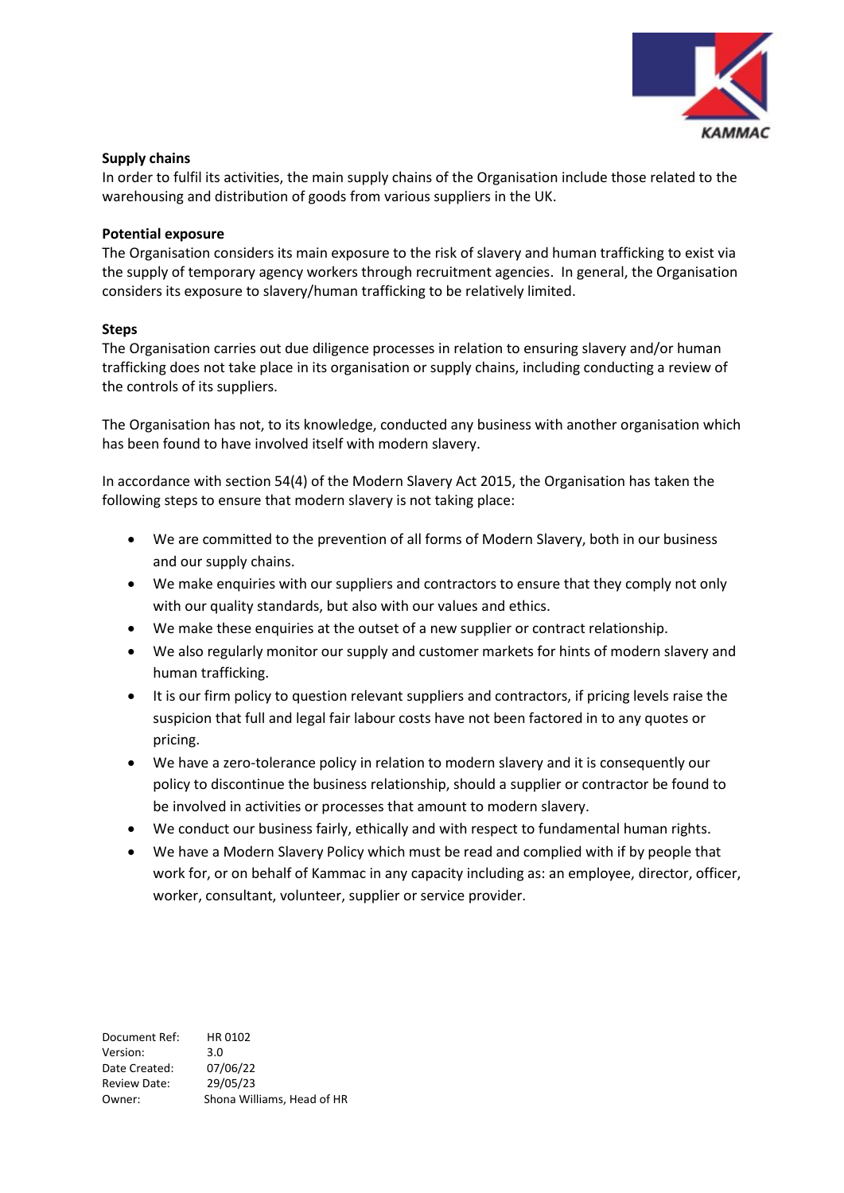

# **Supply chains**

In order to fulfil its activities, the main supply chains of the Organisation include those related to the warehousing and distribution of goods from various suppliers in the UK.

# **Potential exposure**

The Organisation considers its main exposure to the risk of slavery and human trafficking to exist via the supply of temporary agency workers through recruitment agencies. In general, the Organisation considers its exposure to slavery/human trafficking to be relatively limited.

### **Steps**

The Organisation carries out due diligence processes in relation to ensuring slavery and/or human trafficking does not take place in its organisation or supply chains, including conducting a review of the controls of its suppliers.

The Organisation has not, to its knowledge, conducted any business with another organisation which has been found to have involved itself with modern slavery.

In accordance with section 54(4) of the Modern Slavery Act 2015, the Organisation has taken the following steps to ensure that modern slavery is not taking place:

- We are committed to the prevention of all forms of Modern Slavery, both in our business and our supply chains.
- We make enquiries with our suppliers and contractors to ensure that they comply not only with our quality standards, but also with our values and ethics.
- We make these enquiries at the outset of a new supplier or contract relationship.
- We also regularly monitor our supply and customer markets for hints of modern slavery and human trafficking.
- It is our firm policy to question relevant suppliers and contractors, if pricing levels raise the suspicion that full and legal fair labour costs have not been factored in to any quotes or pricing.
- We have a zero-tolerance policy in relation to modern slavery and it is consequently our policy to discontinue the business relationship, should a supplier or contractor be found to be involved in activities or processes that amount to modern slavery.
- We conduct our business fairly, ethically and with respect to fundamental human rights.
- We have a Modern Slavery Policy which must be read and complied with if by people that work for, or on behalf of Kammac in any capacity including as: an employee, director, officer, worker, consultant, volunteer, supplier or service provider.

Document Ref: HR 0102 Version: 3.0 Date Created: 07/06/22 Review Date: 29/05/23 Owner: Shona Williams, Head of HR